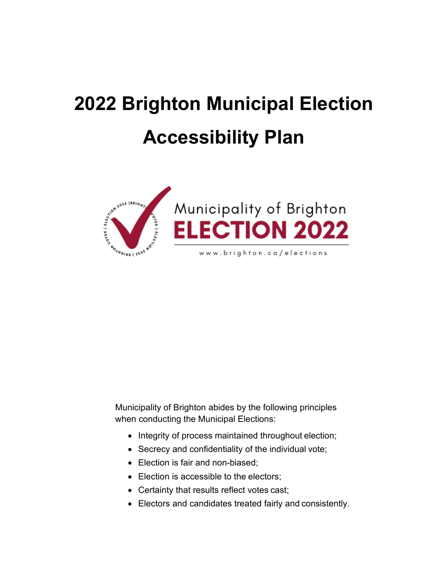# <span id="page-0-1"></span><span id="page-0-0"></span>**2022 Brighton Municipal Election Accessibility Plan**





Municipality of Brighton abides by the following principles when conducting the Municipal Elections:

- Integrity of process maintained throughout election;
- Secrecy and confidentiality of the individual vote;
- Election is fair and non-biased;
- Election is accessible to the electors;
- Certainty that results reflect votes cast;
- Electors and candidates treated fairly and consistently.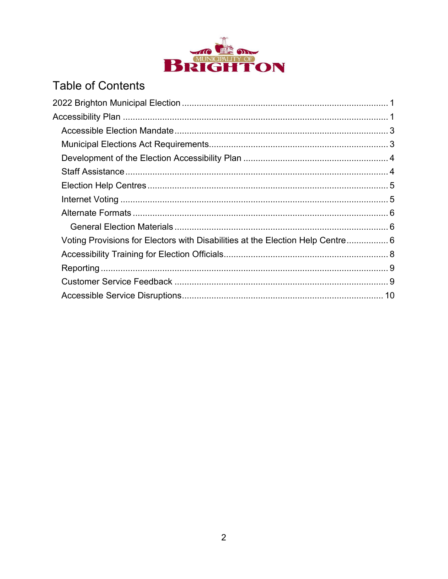

# **Table of Contents**

| Voting Provisions for Electors with Disabilities at the Election Help Centre 6 |  |
|--------------------------------------------------------------------------------|--|
|                                                                                |  |
|                                                                                |  |
|                                                                                |  |
|                                                                                |  |
|                                                                                |  |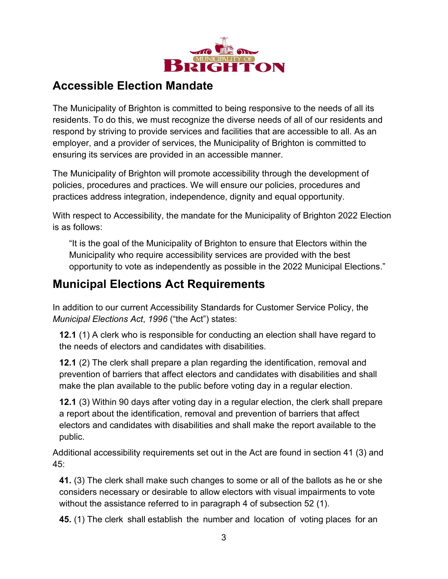

### <span id="page-2-0"></span>**Accessible Election Mandate**

The Municipality of Brighton is committed to being responsive to the needs of all its residents. To do this, we must recognize the diverse needs of all of our residents and respond by striving to provide services and facilities that are accessible to all. As an employer, and a provider of services, the Municipality of Brighton is committed to ensuring its services are provided in an accessible manner.

The Municipality of Brighton will promote accessibility through the development of policies, procedures and practices. We will ensure our policies, procedures and practices address integration, independence, dignity and equal opportunity.

With respect to Accessibility, the mandate for the Municipality of Brighton 2022 Election is as follows:

"It is the goal of the Municipality of Brighton to ensure that Electors within the Municipality who require accessibility services are provided with the best opportunity to vote as independently as possible in the 2022 Municipal Elections."

## <span id="page-2-1"></span>**Municipal Elections Act Requirements**

In addition to our current Accessibility Standards for Customer Service Policy, the *Municipal Elections Act*, *1996* ("the Act") states:

**12.1** (1) A clerk who is responsible for conducting an election shall have regard to the needs of electors and candidates with disabilities.

**12.1** (2) The clerk shall prepare a plan regarding the identification, removal and prevention of barriers that affect electors and candidates with disabilities and shall make the plan available to the public before voting day in a regular election.

**12.1** (3) Within 90 days after voting day in a regular election, the clerk shall prepare a report about the identification, removal and prevention of barriers that affect electors and candidates with disabilities and shall make the report available to the public.

Additional accessibility requirements set out in the Act are found in section 41 (3) and 45:

**41.** (3) The clerk shall make such changes to some or all of the ballots as he or she considers necessary or desirable to allow electors with visual impairments to vote without the assistance referred to in paragraph 4 of subsection 52 (1).

**45.** (1) The clerk shall establish the number and location of voting places for an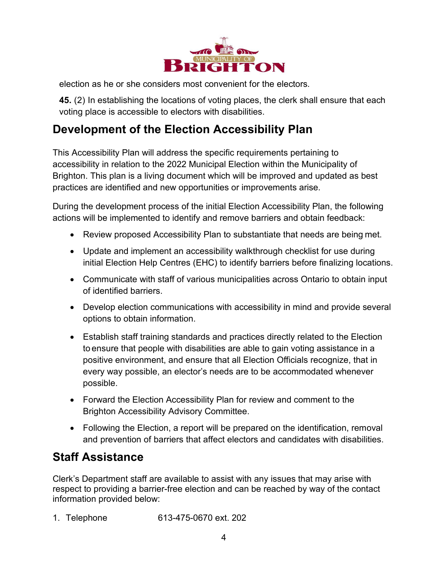

election as he or she considers most convenient for the electors.

**45.** (2) In establishing the locations of voting places, the clerk shall ensure that each voting place is accessible to electors with disabilities.

## <span id="page-3-0"></span>**Development of the Election Accessibility Plan**

This Accessibility Plan will address the specific requirements pertaining to accessibility in relation to the 2022 Municipal Election within the Municipality of Brighton. This plan is a living document which will be improved and updated as best practices are identified and new opportunities or improvements arise.

During the development process of the initial Election Accessibility Plan, the following actions will be implemented to identify and remove barriers and obtain feedback:

- Review proposed Accessibility Plan to substantiate that needs are being met.
- Update and implement an accessibility walkthrough checklist for use during initial Election Help Centres (EHC) to identify barriers before finalizing locations.
- Communicate with staff of various municipalities across Ontario to obtain input of identified barriers.
- Develop election communications with accessibility in mind and provide several options to obtain information.
- Establish staff training standards and practices directly related to the Election to ensure that people with disabilities are able to gain voting assistance in a positive environment, and ensure that all Election Officials recognize, that in every way possible, an elector's needs are to be accommodated whenever possible.
- Forward the Election Accessibility Plan for review and comment to the Brighton Accessibility Advisory Committee.
- Following the Election, a report will be prepared on the identification, removal and prevention of barriers that affect electors and candidates with disabilities.

## <span id="page-3-1"></span>**Staff Assistance**

Clerk's Department staff are available to assist with any issues that may arise with respect to providing a barrier-free election and can be reached by way of the contact information provided below:

1. Telephone 613-475-0670 ext. 202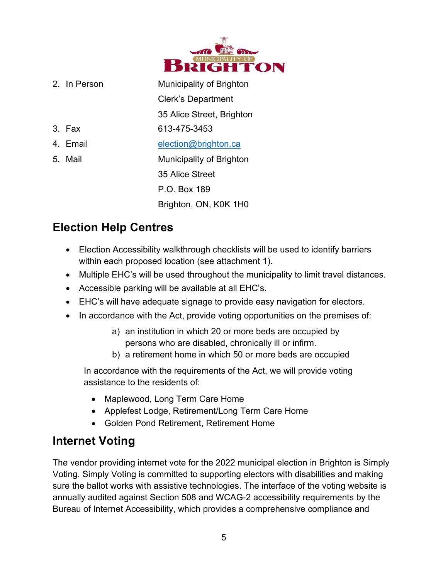

| 2. In Person | Municipality of Brighton  |
|--------------|---------------------------|
|              | <b>Clerk's Department</b> |
|              | 35 Alice Street, Brighton |
| 3. Fax       | 613-475-3453              |
| 4. Email     | election@brighton.ca      |
| 5. Mail      | Municipality of Brighton  |
|              | 35 Alice Street           |
|              | P.O. Box 189              |
|              | Brighton, ON, K0K 1H0     |

# <span id="page-4-0"></span>**Election Help Centres**

- Election Accessibility walkthrough checklists will be used to identify barriers within each proposed location (see attachment 1).
- Multiple EHC's will be used throughout the municipality to limit travel distances.
- Accessible parking will be available at all EHC's.
- EHC's will have adequate signage to provide easy navigation for electors.
- In accordance with the Act, provide voting opportunities on the premises of:
	- a) an institution in which 20 or more beds are occupied by persons who are disabled, chronically ill or infirm.
	- b) a retirement home in which 50 or more beds are occupied

In accordance with the requirements of the Act, we will provide voting assistance to the residents of:

- Maplewood, Long Term Care Home
- Applefest Lodge, Retirement/Long Term Care Home
- Golden Pond Retirement, Retirement Home

# <span id="page-4-1"></span>**Internet Voting**

The vendor providing internet vote for the 2022 municipal election in Brighton is Simply Voting. Simply Voting is committed to supporting electors with disabilities and making sure the ballot works with assistive technologies. The interface of the voting website is annually audited against Section 508 and WCAG-2 accessibility requirements by the Bureau of Internet Accessibility, which provides a comprehensive compliance and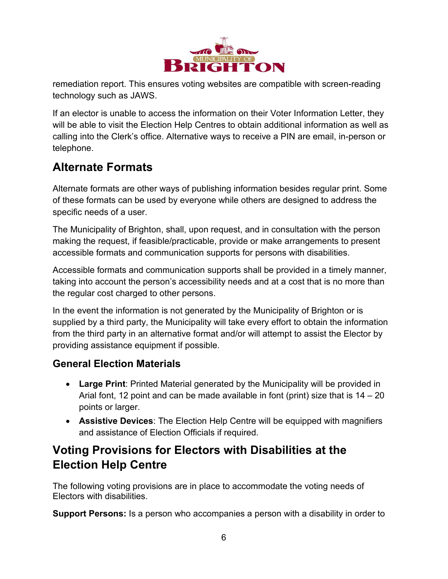

remediation report. This ensures voting websites are compatible with screen-reading technology such as JAWS.

If an elector is unable to access the information on their Voter Information Letter, they will be able to visit the Election Help Centres to obtain additional information as well as calling into the Clerk's office. Alternative ways to receive a PIN are email, in-person or telephone.

# <span id="page-5-0"></span>**Alternate Formats**

Alternate formats are other ways of publishing information besides regular print. Some of these formats can be used by everyone while others are designed to address the specific needs of a user.

The Municipality of Brighton, shall, upon request, and in consultation with the person making the request, if feasible/practicable, provide or make arrangements to present accessible formats and communication supports for persons with disabilities.

Accessible formats and communication supports shall be provided in a timely manner, taking into account the person's accessibility needs and at a cost that is no more than the regular cost charged to other persons.

In the event the information is not generated by the Municipality of Brighton or is supplied by a third party, the Municipality will take every effort to obtain the information from the third party in an alternative format and/or will attempt to assist the Elector by providing assistance equipment if possible.

#### <span id="page-5-1"></span>**General Election Materials**

- **Large Print**: Printed Material generated by the Municipality will be provided in Arial font, 12 point and can be made available in font (print) size that is  $14 - 20$ points or larger.
- **Assistive Devices**: The Election Help Centre will be equipped with magnifiers and assistance of Election Officials if required.

## <span id="page-5-2"></span>**Voting Provisions for Electors with Disabilities at the Election Help Centre**

The following voting provisions are in place to accommodate the voting needs of Electors with disabilities.

**Support Persons:** Is a person who accompanies a person with a disability in order to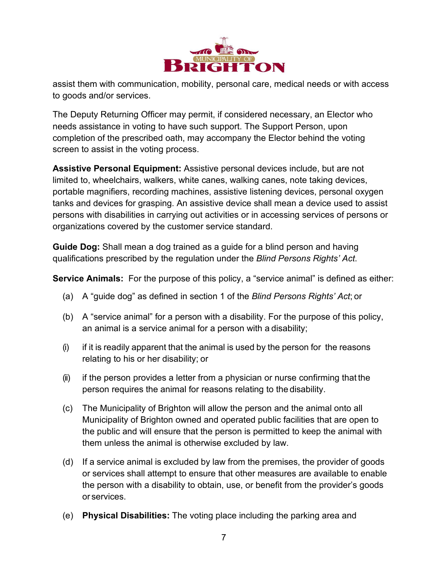

assist them with communication, mobility, personal care, medical needs or with access to goods and/or services.

The Deputy Returning Officer may permit, if considered necessary, an Elector who needs assistance in voting to have such support. The Support Person, upon completion of the prescribed oath, may accompany the Elector behind the voting screen to assist in the voting process.

**Assistive Personal Equipment:** Assistive personal devices include, but are not limited to, wheelchairs, walkers, white canes, walking canes, note taking devices, portable magnifiers, recording machines, assistive listening devices, personal oxygen tanks and devices for grasping. An assistive device shall mean a device used to assist persons with disabilities in carrying out activities or in accessing services of persons or organizations covered by the customer service standard.

**Guide Dog:** Shall mean a dog trained as a guide for a blind person and having qualifications prescribed by the regulation under the *Blind Persons Rights' Act*.

**Service Animals:** For the purpose of this policy, a "service animal" is defined as either:

- (a) A "guide dog" as defined in section 1 of the *Blind Persons Rights' Act*; or
- (b) A "service animal" for a person with a disability. For the purpose of this policy, an animal is a service animal for a person with a disability;
- $(i)$  if it is readily apparent that the animal is used by the person for the reasons relating to his or her disability; or
- (ii) if the person provides a letter from a physician or nurse confirming that the person requires the animal for reasons relating to the disability.
- (c) The Municipality of Brighton will allow the person and the animal onto all Municipality of Brighton owned and operated public facilities that are open to the public and will ensure that the person is permitted to keep the animal with them unless the animal is otherwise excluded by law.
- (d) If a service animal is excluded by law from the premises, the provider of goods or services shall attempt to ensure that other measures are available to enable the person with a disability to obtain, use, or benefit from the provider's goods or services.
- (e) **Physical Disabilities:** The voting place including the parking area and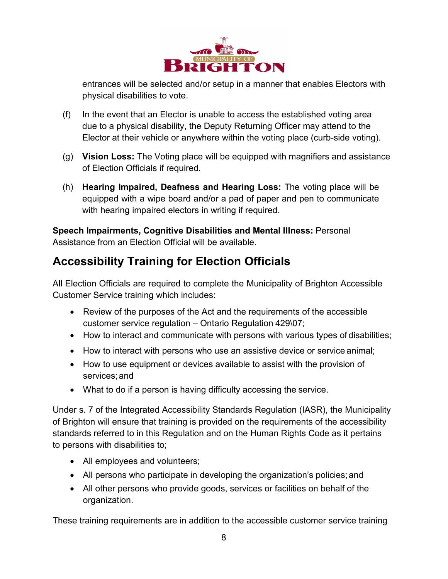

entrances will be selected and/or setup in a manner that enables Electors with physical disabilities to vote.

- (f) In the event that an Elector is unable to access the established voting area due to a physical disability, the Deputy Returning Officer may attend to the Elector at their vehicle or anywhere within the voting place (curb-side voting).
- (g) **Vision Loss:** The Voting place will be equipped with magnifiers and assistance of Election Officials if required.
- (h) **Hearing Impaired, Deafness and Hearing Loss:** The voting place will be equipped with a wipe board and/or a pad of paper and pen to communicate with hearing impaired electors in writing if required.

**Speech Impairments, Cognitive Disabilities and Mental Illness:** Personal Assistance from an Election Official will be available.

# <span id="page-7-0"></span>**Accessibility Training for Election Officials**

All Election Officials are required to complete the Municipality of Brighton Accessible Customer Service training which includes:

- Review of the purposes of the Act and the requirements of the accessible customer service regulation – Ontario Regulation 429\07;
- How to interact and communicate with persons with various types of disabilities;
- How to interact with persons who use an assistive device or service animal;
- How to use equipment or devices available to assist with the provision of services; and
- What to do if a person is having difficulty accessing the service.

Under s. 7 of the Integrated Accessibility Standards Regulation (IASR), the Municipality of Brighton will ensure that training is provided on the requirements of the accessibility standards referred to in this Regulation and on the Human Rights Code as it pertains to persons with disabilities to;

- All employees and volunteers;
- All persons who participate in developing the organization's policies; and
- All other persons who provide goods, services or facilities on behalf of the organization.

These training requirements are in addition to the accessible customer service training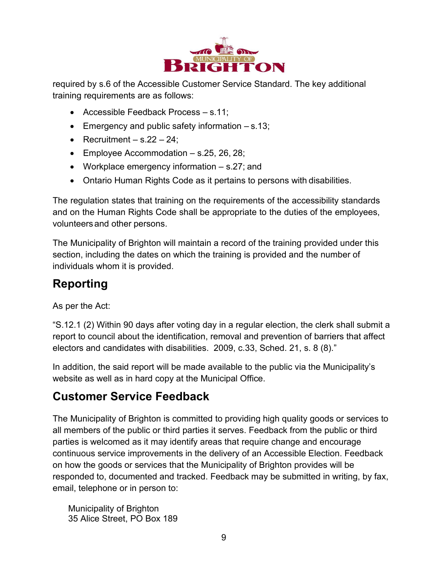

required by s.6 of the Accessible Customer Service Standard. The key additional training requirements are as follows:

- Accessible Feedback Process s.11;
- Emergency and public safety information  $-$  s.13;
- Recruitment  $-$  s.22  $-$  24;
- Employee Accommodation s.25, 26, 28;
- Workplace emergency information s.27; and
- Ontario Human Rights Code as it pertains to persons with disabilities.

The regulation states that training on the requirements of the accessibility standards and on the Human Rights Code shall be appropriate to the duties of the employees, volunteersand other persons.

The Municipality of Brighton will maintain a record of the training provided under this section, including the dates on which the training is provided and the number of individuals whom it is provided.

## <span id="page-8-0"></span>**Reporting**

As per the Act:

"S.12.1 (2) Within 90 days after voting day in a regular election, the clerk shall submit a report to council about the identification, removal and prevention of barriers that affect electors and candidates with disabilities. 2009, c.33, Sched. 21, s. 8 (8)."

In addition, the said report will be made available to the public via the Municipality's website as well as in hard copy at the Municipal Office.

## <span id="page-8-1"></span>**Customer Service Feedback**

The Municipality of Brighton is committed to providing high quality goods or services to all members of the public or third parties it serves. Feedback from the public or third parties is welcomed as it may identify areas that require change and encourage continuous service improvements in the delivery of an Accessible Election. Feedback on how the goods or services that the Municipality of Brighton provides will be responded to, documented and tracked. Feedback may be submitted in writing, by fax, email, telephone or in person to:

Municipality of Brighton 35 Alice Street, PO Box 189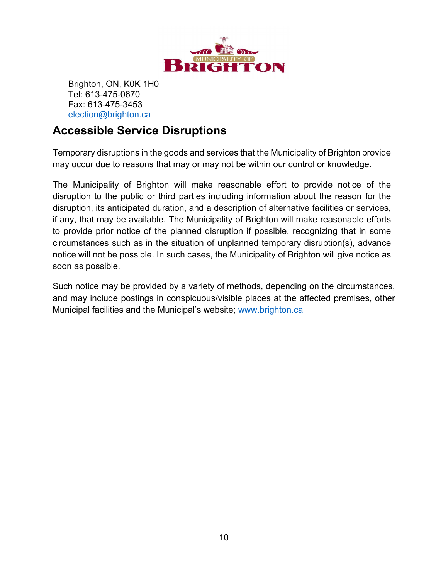

Brighton, ON, K0K 1H0 Tel: 613-475-0670 Fax: 613-475-3453 [election@brighton.ca](mailto:election@brighton.ca)

## <span id="page-9-0"></span>**Accessible Service Disruptions**

Temporary disruptions in the goods and services that the Municipality of Brighton provide may occur due to reasons that may or may not be within our control or knowledge.

The Municipality of Brighton will make reasonable effort to provide notice of the disruption to the public or third parties including information about the reason for the disruption, its anticipated duration, and a description of alternative facilities or services, if any, that may be available. The Municipality of Brighton will make reasonable efforts to provide prior notice of the planned disruption if possible, recognizing that in some circumstances such as in the situation of unplanned temporary disruption(s), advance notice will not be possible. In such cases, the Municipality of Brighton will give notice as soon as possible.

Such notice may be provided by a variety of methods, depending on the circumstances, and may include postings in conspicuous/visible places at the affected premises, other Municipal facilities and the Municipal's website; [www.brighton.ca](http://www.brighton.ca/)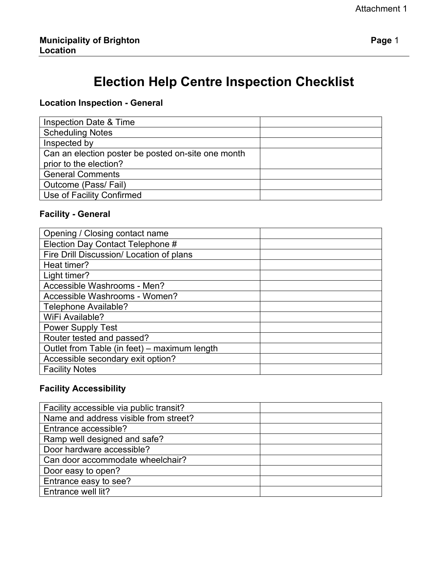# **Election Help Centre Inspection Checklist**

#### **Location Inspection - General**

| <b>Inspection Date &amp; Time</b>                  |  |
|----------------------------------------------------|--|
| <b>Scheduling Notes</b>                            |  |
| Inspected by                                       |  |
| Can an election poster be posted on-site one month |  |
| prior to the election?                             |  |
| <b>General Comments</b>                            |  |
| Outcome (Pass/Fail)                                |  |
| Use of Facility Confirmed                          |  |

#### **Facility - General**

| Opening / Closing contact name               |  |
|----------------------------------------------|--|
| Election Day Contact Telephone #             |  |
| Fire Drill Discussion/ Location of plans     |  |
| Heat timer?                                  |  |
| Light timer?                                 |  |
| Accessible Washrooms - Men?                  |  |
| Accessible Washrooms - Women?                |  |
| Telephone Available?                         |  |
| WiFi Available?                              |  |
| <b>Power Supply Test</b>                     |  |
| Router tested and passed?                    |  |
| Outlet from Table (in feet) - maximum length |  |
| Accessible secondary exit option?            |  |
| <b>Facility Notes</b>                        |  |

#### **Facility Accessibility**

| Facility accessible via public transit? |  |
|-----------------------------------------|--|
| Name and address visible from street?   |  |
| Entrance accessible?                    |  |
| Ramp well designed and safe?            |  |
| Door hardware accessible?               |  |
| Can door accommodate wheelchair?        |  |
| Door easy to open?                      |  |
| Entrance easy to see?                   |  |
| Entrance well lit?                      |  |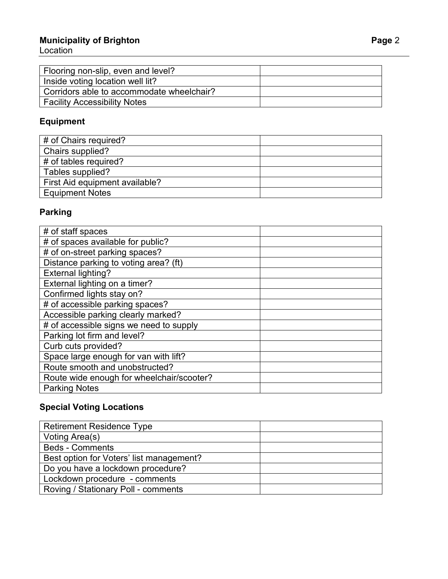#### **Municipality of Brighton Page**

Location

| Flooring non-slip, even and level?        |  |
|-------------------------------------------|--|
| Inside voting location well lit?          |  |
| Corridors able to accommodate wheelchair? |  |
| Facility Accessibility Notes              |  |

### **Equipment**

| # of Chairs required?          |  |
|--------------------------------|--|
| Chairs supplied?               |  |
| # of tables required?          |  |
| Tables supplied?               |  |
| First Aid equipment available? |  |
| <b>Equipment Notes</b>         |  |

### **Parking**

| # of staff spaces                         |  |
|-------------------------------------------|--|
| # of spaces available for public?         |  |
| # of on-street parking spaces?            |  |
| Distance parking to voting area? (ft)     |  |
| <b>External lighting?</b>                 |  |
| External lighting on a timer?             |  |
| Confirmed lights stay on?                 |  |
| # of accessible parking spaces?           |  |
| Accessible parking clearly marked?        |  |
| # of accessible signs we need to supply   |  |
| Parking lot firm and level?               |  |
| Curb cuts provided?                       |  |
| Space large enough for van with lift?     |  |
| Route smooth and unobstructed?            |  |
| Route wide enough for wheelchair/scooter? |  |
| <b>Parking Notes</b>                      |  |

### **Special Voting Locations**

| <b>Retirement Residence Type</b>         |  |
|------------------------------------------|--|
| Voting Area(s)                           |  |
| <b>Beds - Comments</b>                   |  |
| Best option for Voters' list management? |  |
| Do you have a lockdown procedure?        |  |
| Lockdown procedure - comments            |  |
| Roving / Stationary Poll - comments      |  |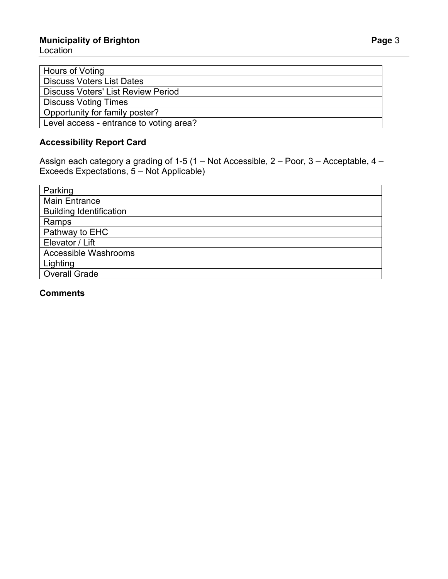#### **Municipality of Brighton Page 3** Location

| Hours of Voting                           |  |
|-------------------------------------------|--|
| <b>Discuss Voters List Dates</b>          |  |
| <b>Discuss Voters' List Review Period</b> |  |
| <b>Discuss Voting Times</b>               |  |
| Opportunity for family poster?            |  |
| Level access - entrance to voting area?   |  |

#### **Accessibility Report Card**

Assign each category a grading of 1-5 (1 – Not Accessible, 2 – Poor, 3 – Acceptable, 4 – Exceeds Expectations, 5 – Not Applicable)

| Parking                        |  |
|--------------------------------|--|
| <b>Main Entrance</b>           |  |
| <b>Building Identification</b> |  |
| Ramps                          |  |
| Pathway to EHC                 |  |
| Elevator / Lift                |  |
| Accessible Washrooms           |  |
| Lighting                       |  |
| <b>Overall Grade</b>           |  |

#### **Comments**